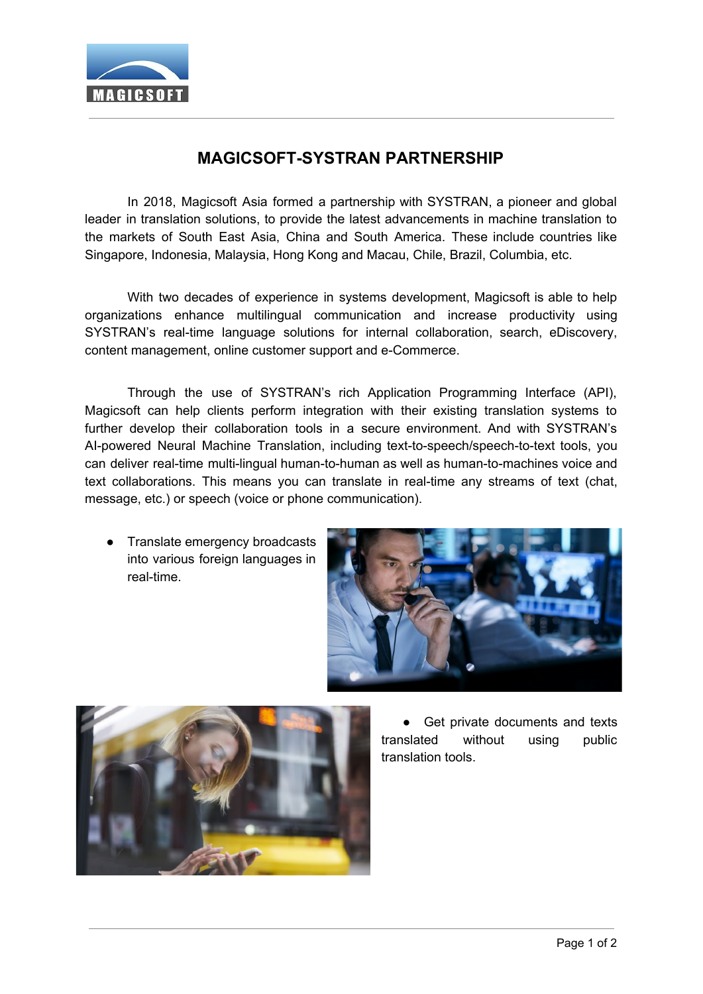

## **MAGICSOFT-SYSTRAN PARTNERSHIP**

In 2018, Magicsoft Asia formed a partnership with SYSTRAN, a pioneer and global leader in translation solutions, to provide the latest advancements in machine translation to the markets of South East Asia, China and South America. These include countries like Singapore, Indonesia, Malaysia, Hong Kong and Macau, Chile, Brazil, Columbia, etc.

With two decades of experience in systems development, Magicsoft is able to help organizations enhance multilingual communication and increase productivity using SYSTRAN's real-time language solutions for internal collaboration, search, eDiscovery, content management, online customer support and e-Commerce.

Through the use of SYSTRAN's rich Application Programming Interface (API), Magicsoft can help clients perform integration with their existing translation systems to further develop their collaboration tools in a secure environment. And with SYSTRAN's AI-powered Neural Machine Translation, including text-to-speech/speech-to-text tools, you can deliver real-time multi-lingual human-to-human as well as human-to-machines voice and text collaborations. This means you can translate in real-time any streams of text (chat, message, etc.) or speech (voice or phone communication).

● Translate emergency broadcasts into various foreign languages in real-time.





Get private documents and texts translated without using public translation tools.